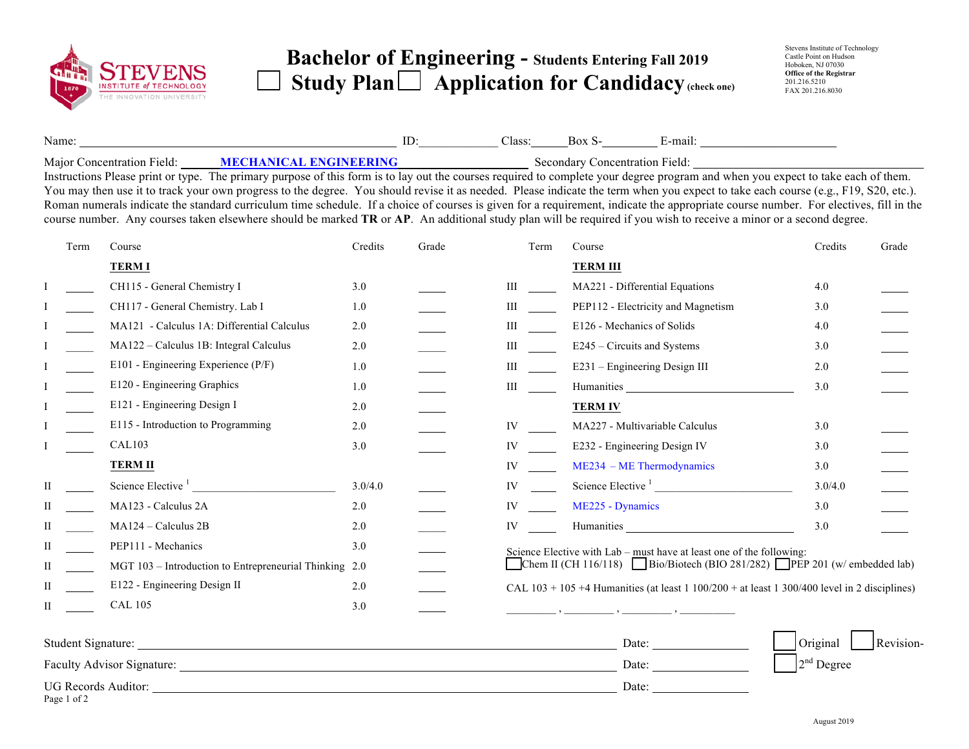

## **Bachelor of Engineering - Students Entering Fall 201<sup>9</sup>**  Study Plan  $\Box$  Application for Candidacy (check one)

| Name: |      |                                                                                                       | Class: | ור | $-man$ |
|-------|------|-------------------------------------------------------------------------------------------------------|--------|----|--------|
| $  -$ | ---- | $\sim$ 2000 and 2000 $\pm$ 3000 and 3000 $\pm$ 3000 $\pm$ 3000 $\pm$ 3000 $\pm$ 3000 $\pm$ 3000 $\pm$ |        |    | ---    |

Major Concentration Field: **MECHANICAL ENGINEERING** Secondary Concentration Field:

Instructions Please print or type. The primary purpose of this form is to lay out the courses required to complete your degree program and when you expect to take each of them. You may then use it to track your own progress to the degree. You should revise it as needed. Please indicate the term when you expect to take each course (e.g., F19, S20, etc.). Roman numerals indicate the standard curriculum time schedule. If a choice of courses is given for a requirement, indicate the appropriate course number. For electives, fill in the course number. Any courses taken elsewhere should be marked **TR** or **AP**. An additional study plan will be required if you wish to receive a minor or a second degree.

|   | Term               | Course                                                                                                                                                                                                                                                                                                                                                  | Credits | Grade | Term                                                                     | Course                                                                                                                                                                                                                         | Credits                  | Grade     |
|---|--------------------|---------------------------------------------------------------------------------------------------------------------------------------------------------------------------------------------------------------------------------------------------------------------------------------------------------------------------------------------------------|---------|-------|--------------------------------------------------------------------------|--------------------------------------------------------------------------------------------------------------------------------------------------------------------------------------------------------------------------------|--------------------------|-----------|
|   |                    | <b>TERMI</b>                                                                                                                                                                                                                                                                                                                                            |         |       |                                                                          | <b>TERM III</b>                                                                                                                                                                                                                |                          |           |
|   |                    | CH115 - General Chemistry I                                                                                                                                                                                                                                                                                                                             | 3.0     |       | Ш                                                                        | MA221 - Differential Equations                                                                                                                                                                                                 | 4.0                      |           |
|   |                    | CH117 - General Chemistry. Lab I                                                                                                                                                                                                                                                                                                                        | 1.0     |       | Ш                                                                        | PEP112 - Electricity and Magnetism                                                                                                                                                                                             | 3.0                      |           |
|   |                    | MA121 - Calculus 1A: Differential Calculus                                                                                                                                                                                                                                                                                                              | 2.0     |       | Ш                                                                        | E126 - Mechanics of Solids                                                                                                                                                                                                     | 4.0                      |           |
|   |                    | MA122 - Calculus 1B: Integral Calculus                                                                                                                                                                                                                                                                                                                  | 2.0     |       | Ш                                                                        | E245 – Circuits and Systems                                                                                                                                                                                                    | 3.0                      |           |
|   |                    | E101 - Engineering Experience (P/F)                                                                                                                                                                                                                                                                                                                     | 1.0     |       | Ш                                                                        | E231 - Engineering Design III                                                                                                                                                                                                  | 2.0                      |           |
|   |                    | E120 - Engineering Graphics                                                                                                                                                                                                                                                                                                                             | 1.0     |       | Ш                                                                        | Humanities and the state of the state of the state of the state of the state of the state of the state of the state of the state of the state of the state of the state of the state of the state of the state of the state of | 3.0                      |           |
|   |                    | E121 - Engineering Design I                                                                                                                                                                                                                                                                                                                             | 2.0     |       |                                                                          | <b>TERM IV</b>                                                                                                                                                                                                                 |                          |           |
|   |                    | E115 - Introduction to Programming                                                                                                                                                                                                                                                                                                                      | 2.0     |       | IV                                                                       | MA227 - Multivariable Calculus                                                                                                                                                                                                 | 3.0                      |           |
|   |                    | <b>CAL103</b>                                                                                                                                                                                                                                                                                                                                           | 3.0     |       | IV                                                                       | E232 - Engineering Design IV                                                                                                                                                                                                   | 3.0                      |           |
|   |                    | <b>TERM II</b>                                                                                                                                                                                                                                                                                                                                          |         |       | IV                                                                       | $ME234 - ME Thermodynamics$                                                                                                                                                                                                    | 3.0                      |           |
| П |                    |                                                                                                                                                                                                                                                                                                                                                         | 3.0/4.0 |       | IV                                                                       | Science Elective <sup>1</sup>                                                                                                                                                                                                  | 3.0/4.0                  |           |
| П |                    | MA123 - Calculus 2A                                                                                                                                                                                                                                                                                                                                     | 2.0     |       | IV                                                                       | ME225 - Dynamics                                                                                                                                                                                                               | 3.0                      |           |
| П |                    | MA124 - Calculus 2B                                                                                                                                                                                                                                                                                                                                     | 2.0     |       | IV                                                                       | Humanities Latin Communications and the set of the set of the set of the set of the set of the set of the set of the set of the set of the set of the set of the set of the set of the set of the set of the set of the set of | 3.0                      |           |
| П |                    | PEP111 - Mechanics                                                                                                                                                                                                                                                                                                                                      | 3.0     |       |                                                                          | Science Elective with Lab – must have at least one of the following:                                                                                                                                                           |                          |           |
| Н |                    | MGT 103 - Introduction to Entrepreneurial Thinking 2.0                                                                                                                                                                                                                                                                                                  |         |       | Chem II (CH 116/118) Bio/Biotech (BIO 281/282) PEP 201 (w/ embedded lab) |                                                                                                                                                                                                                                |                          |           |
| Н |                    | E122 - Engineering Design II                                                                                                                                                                                                                                                                                                                            | 2.0     |       |                                                                          | CAL $103 + 105 + 4$ Humanities (at least 1 100/200 + at least 1 300/400 level in 2 disciplines)                                                                                                                                |                          |           |
| П |                    | <b>CAL 105</b>                                                                                                                                                                                                                                                                                                                                          | 3.0     |       |                                                                          |                                                                                                                                                                                                                                |                          |           |
|   | Student Signature: | <u> 1989 - Johann Barbara, martin da basar a shekara 1989 - An tsa a tsarann an tsa an tsa an tsa an tsa an tsa a</u><br>Faculty Advisor Signature: 1986. The Second Second Second Second Second Second Second Second Second Second Second Second Second Second Second Second Second Second Second Second Second Second Second Second Second Second Sec |         |       |                                                                          | Date:<br>Date:                                                                                                                                                                                                                 | Original<br>$2nd$ Degree | Revision- |
|   |                    |                                                                                                                                                                                                                                                                                                                                                         |         |       |                                                                          |                                                                                                                                                                                                                                |                          |           |

UG Records Auditor: Date: Page 1 of 2